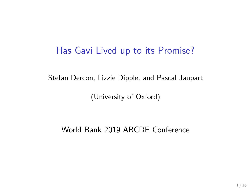### Has Gavi Lived up to its Promise?

Stefan Dercon, Lizzie Dipple, and Pascal Jaupart

(University of Oxford)

World Bank 2019 ABCDE Conference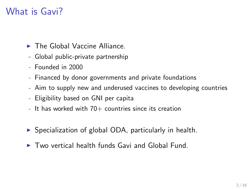## What is Gavi?

- $\blacktriangleright$  The Global Vaccine Alliance.
- Global public-private partnership
- Founded in 2000
- Financed by donor governments and private foundations
- Aim to supply new and underused vaccines to developing countries
- Eligibility based on GNI per capita
- $-$  It has worked with  $70+$  countries since its creation
- $\triangleright$  Specialization of global ODA, particularly in health.
- $\blacktriangleright$  Two vertical health funds Gavi and Global Fund.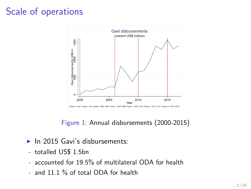# Scale of operations



Figure 1: Annual disbursements (2000-2015)

- $\blacktriangleright$  In 2015 Gavi's disbursements:
- totalled US\$ 1.5bn
- accounted for 19.5% of multilateral ODA for health
- and 11.1 % of total ODA for health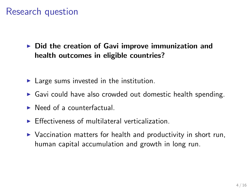## Research question

 $\triangleright$  Did the creation of Gavi improve immunization and health outcomes in eligible countries?

- $\blacktriangleright$  Large sums invested in the institution.
- $\triangleright$  Gavi could have also crowded out domestic health spending.
- $\blacktriangleright$  Need of a counterfactual.
- $\blacktriangleright$  Effectiveness of multilateral verticalization.
- $\triangleright$  Vaccination matters for health and productivity in short run, human capital accumulation and growth in long run.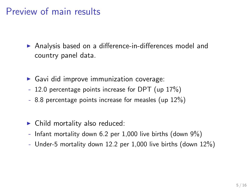## Preview of main results

▶ Analysis based on a difference-in-differences model and country panel data.

- $\triangleright$  Gavi did improve immunization coverage:
- 12.0 percentage points increase for DPT (up 17%)
- 8.8 percentage points increase for measles (up 12%)
- $\blacktriangleright$  Child mortality also reduced:
- Infant mortality down 6.2 per 1,000 live births (down  $9\%$ )
- Under-5 mortality down 12.2 per 1,000 live births (down 12%)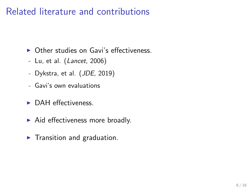## Related literature and contributions

- $\triangleright$  Other studies on Gavi's effectiveness.
- Lu, et al. (Lancet, 2006)
- Dykstra, et al. (JDE, 2019)
- Gavi's own evaluations
- $\triangleright$  DAH effectiveness.
- $\blacktriangleright$  Aid effectiveness more broadly.
- $\blacktriangleright$  Transition and graduation.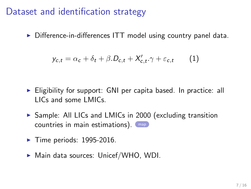#### Dataset and identification strategy

<span id="page-6-0"></span> $\triangleright$  Difference-in-differences ITT model using country panel data.

$$
y_{c,t} = \alpha_c + \delta_t + \beta \cdot D_{c,t} + X'_{c,t} \cdot \gamma + \varepsilon_{c,t} \qquad (1)
$$

- $\triangleright$  Eligibility for support: GNI per capita based. In practice: all LICs and some LMICs.
- ▶ Sample: All LICs and LMICs in 2000 (excluding transition countries in main estimations). [map](#page-17-0)
- $\blacktriangleright$  Time periods: 1995-2016.
- $\blacktriangleright$  Main data sources: Unicef/WHO, WDI.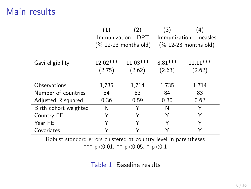## Main results

|                       | $\left( 1\right)$       | (2)                | (3)                     | $\left( 4\right)$    |
|-----------------------|-------------------------|--------------------|-------------------------|----------------------|
|                       | Immunization - DPT      |                    | Immunization - measles  |                      |
|                       | $(\% 12-23$ months old) |                    | $(\% 12-23$ months old) |                      |
| Gavi eligibility      | 12.02***<br>(2.75)      | 11.03***<br>(2.62) | 8.81***<br>(2.63)       | $11.11***$<br>(2.62) |
| Observations          | 1,735                   | 1,714              | 1,735                   | 1,714                |
| Number of countries   | 84                      | 83                 | 84                      | 83                   |
| Adjusted R-squared    | 0.36                    | 0.59               | 0.30                    | 0.62                 |
| Birth cohort weighted | N                       | Y                  | N                       | Y                    |
| Country FE            |                         |                    | Y                       |                      |
| Year FE               |                         | Υ                  | Υ                       |                      |
| Covariates            |                         |                    |                         |                      |

Robust standard errors clustered at country level in parentheses \*\*\* p<0.01, \*\* p<0.05, \* p<0.1

Table 1: Baseline results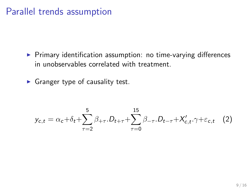### Parallel trends assumption

- $\triangleright$  Primary identification assumption: no time-varying differences in unobservables correlated with treatment.
- $\blacktriangleright$  Granger type of causality test.

$$
y_{c,t} = \alpha_c + \delta_t + \sum_{\tau=2}^5 \beta_{+\tau} D_{t+\tau} + \sum_{\tau=0}^{15} \beta_{-\tau} D_{t-\tau} + X'_{c,t} \cdot \gamma + \varepsilon_{c,t} \quad (2)
$$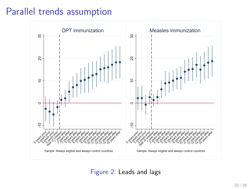### Parallel trends assumption



Figure 2: Leads and lags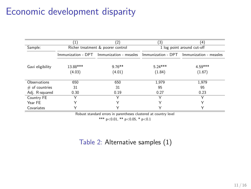## Economic development disparity

|                  | Ί.                                | $\left( 2\right)$                                                                   | [3]                        | (4)                 |  |
|------------------|-----------------------------------|-------------------------------------------------------------------------------------|----------------------------|---------------------|--|
| Sample:          | Richer treatment & poorer control |                                                                                     | 1 log point around cut-off |                     |  |
|                  |                                   | Immunization - DPT Immunization - measles Immunization - DPT Immunization - measles |                            |                     |  |
| Gavi eligibility | 13.88***<br>(4.03)                | $9.76**$<br>(4.01)                                                                  | $5.24***$<br>(1.84)        | $4.59***$<br>(1.67) |  |
| Observations     | 650                               | 650                                                                                 | 1.979                      | 1.979               |  |
| $#$ of countries | 31                                | 31                                                                                  | 95                         | 95                  |  |
| Adj. R-squared   | 0.30                              | 0.19                                                                                | 0.27                       | 0.23                |  |
| Country FE       |                                   |                                                                                     |                            |                     |  |
| Year FE          | ν                                 | v                                                                                   | Υ                          | ν                   |  |
| Covariates       | v                                 | v                                                                                   | ∨                          |                     |  |

Robust standard errors in parentheses clustered at country level

\*\*\* p<0.01, \*\* p<0.05, \* p<0.1

#### Table 2: Alternative samples (1)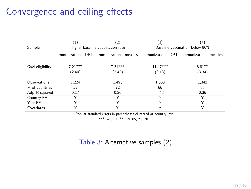## Convergence and ceiling effects

|                  | '1)                              | (2)                                                                                 | 3)                             | (4)                |  |
|------------------|----------------------------------|-------------------------------------------------------------------------------------|--------------------------------|--------------------|--|
| Sample:          | Higher baseline vaccination rate |                                                                                     | Baseline vaccination below 90% |                    |  |
|                  |                                  | Immunization - DPT Immunization - measles Immunization - DPT Immunization - measles |                                |                    |  |
| Gavi eligibility | $7.21***$<br>(2.40)              | $7.31***$<br>(2.42)                                                                 | $11.47***$<br>(3.18)           | $8.81**$<br>(3.34) |  |
|                  |                                  |                                                                                     |                                |                    |  |
| Observations     | 1.224                            | 1.493                                                                               | 1,363                          | 1,342              |  |
| $#$ of countries | 59                               | 72                                                                                  | 66                             | 65                 |  |
| Adj. R-squared   | 0.17                             | 0.20                                                                                | 0.43                           | 0.36               |  |
| Country FE       |                                  |                                                                                     |                                |                    |  |
| Year FE          | v                                | ν                                                                                   | Υ                              | Υ                  |  |
| Covariates       | $\checkmark$                     |                                                                                     | 丷                              | v                  |  |

Robust standard errors in parentheses clustered at country level

\*\*\* p<0.01, \*\* p<0.05, \* p<0.1

#### Table 3: Alternative samples (2)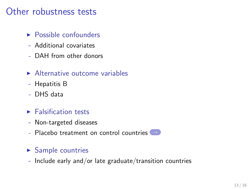### Other robustness tests

- <span id="page-12-0"></span> $\triangleright$  Possible confounders
- Additional covariates
- DAH from other donors
- $\blacktriangleright$  Alternative outcome variables
- Hepatitis B
- DHS data
- $\blacktriangleright$  Falsification tests
- Non-targeted diseases
- Placebo treatment on control countries [→](#page-18-0)

#### $\blacktriangleright$  Sample countries

- Include early and/or late graduate/transition countries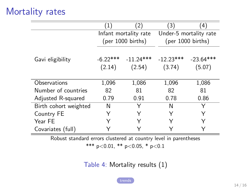## Mortality rates

<span id="page-13-0"></span>

|                       | (1)                         | (2)         | (3)                         | (4)         |
|-----------------------|-----------------------------|-------------|-----------------------------|-------------|
|                       | Infant mortality rate       |             | Under-5 mortality rate      |             |
|                       | $(per 1000 \text{ births})$ |             | $(per 1000 \text{ births})$ |             |
|                       |                             |             |                             |             |
| Gavi eligibility      | $-6.22***$                  | $-11.24***$ | $-12.23***$                 | $-23.64***$ |
|                       | (2.14)                      | (2.54)      | (3.74)                      | (5.07)      |
|                       |                             |             |                             |             |
| Observations          | 1,096                       | 1,086       | 1,096                       | 1,086       |
| Number of countries   | 82                          | 81          | 82                          | 81          |
| Adjusted R-squared    | 0.79                        | 0.91        | 0.78                        | 0.86        |
| Birth cohort weighted | N                           | Y           | N                           |             |
| Country FE            | Υ                           |             | Y                           | Υ           |
| Year FE               |                             |             |                             |             |
| Covariates (full)     |                             |             |                             |             |

Robust standard errors clustered at country level in parentheses

\*\*\* p<0.01, \*\* p<0.05, \* p<0.1

Table 4: Mortality results (1)

[trends](#page-19-0)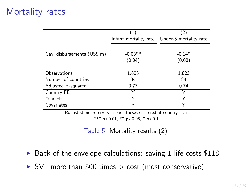## Mortality rates

|                             | $\left(1\right)$ | '2                                           |
|-----------------------------|------------------|----------------------------------------------|
|                             |                  | Infant mortality rate Under-5 mortality rate |
|                             |                  |                                              |
| Gavi disbursements (US\$ m) | $-0.08**$        | $-0.14*$                                     |
|                             | (0.04)           | (0.08)                                       |
|                             |                  |                                              |
| Observations                | 1,823            | 1,823                                        |
| Number of countries         | 84               | 84                                           |
| Adjusted R-squared          | 0.77             | 0.74                                         |
| Country FE                  | ∨                |                                              |
| Year FE                     | Υ                | Υ                                            |
| Covariates                  | ⋎                | Υ                                            |

Robust standard errors in parentheses clustered at country level

\*\*\*  $p<0.01$ , \*\*  $p<0.05$ , \*  $p<0.1$ 

Table 5: Mortality results (2)

- $\triangleright$  Back-of-the-envelope calculations: saving 1 life costs \$118.
- $\triangleright$  SVL more than 500 times  $>$  cost (most conservative).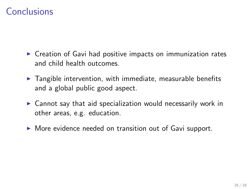## Conclusions

- $\triangleright$  Creation of Gavi had positive impacts on immunization rates and child health outcomes.
- $\blacktriangleright$  Tangible intervention, with immediate, measurable benefits and a global public good aspect.
- $\triangleright$  Cannot say that aid specialization would necessarily work in other areas, e.g. education.
- $\triangleright$  More evidence needed on transition out of Gavi support.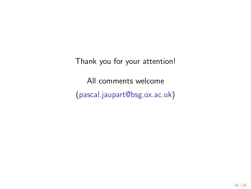Thank you for your attention! All comments welcome (pascal.jaupart@bsg.ox.ac.uk)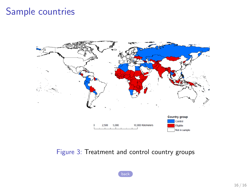### Sample countries

<span id="page-17-0"></span>

Figure 3: Treatment and control country groups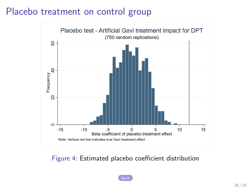## Placebo treatment on control group

<span id="page-18-0"></span>

Figure 4: Estimated placebo coefficient distribution